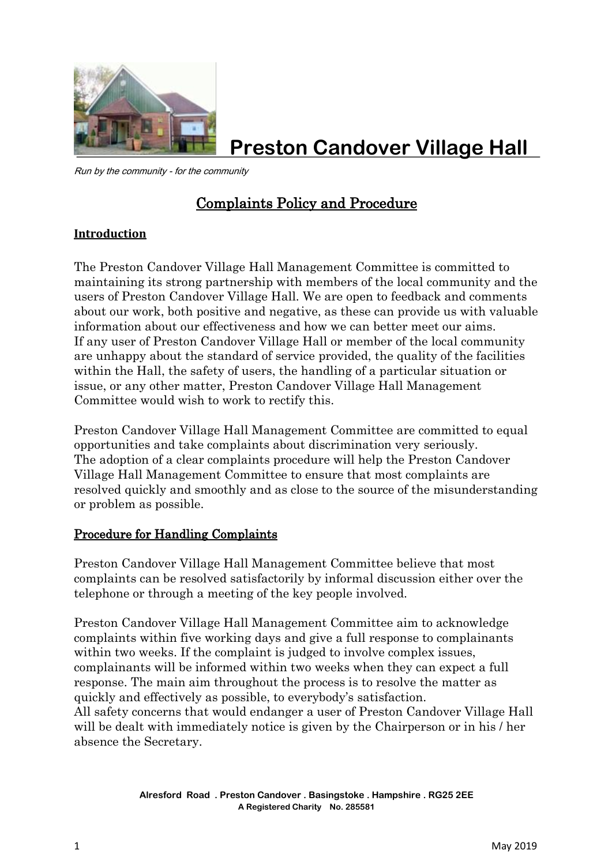

**Preston Candover Village Hall**

Run by the community - for the community

# Complaints Policy and Procedure

# **Introduction**

The Preston Candover Village Hall Management Committee is committed to maintaining its strong partnership with members of the local community and the users of Preston Candover Village Hall. We are open to feedback and comments about our work, both positive and negative, as these can provide us with valuable information about our effectiveness and how we can better meet our aims. If any user of Preston Candover Village Hall or member of the local community are unhappy about the standard of service provided, the quality of the facilities within the Hall, the safety of users, the handling of a particular situation or issue, or any other matter, Preston Candover Village Hall Management Committee would wish to work to rectify this.

Preston Candover Village Hall Management Committee are committed to equal opportunities and take complaints about discrimination very seriously. The adoption of a clear complaints procedure will help the Preston Candover Village Hall Management Committee to ensure that most complaints are resolved quickly and smoothly and as close to the source of the misunderstanding or problem as possible.

# Procedure for Handling Complaints

Preston Candover Village Hall Management Committee believe that most complaints can be resolved satisfactorily by informal discussion either over the telephone or through a meeting of the key people involved.

Preston Candover Village Hall Management Committee aim to acknowledge complaints within five working days and give a full response to complainants within two weeks. If the complaint is judged to involve complex issues, complainants will be informed within two weeks when they can expect a full response. The main aim throughout the process is to resolve the matter as quickly and effectively as possible, to everybody's satisfaction. All safety concerns that would endanger a user of Preston Candover Village Hall

will be dealt with immediately notice is given by the Chairperson or in his / her absence the Secretary.